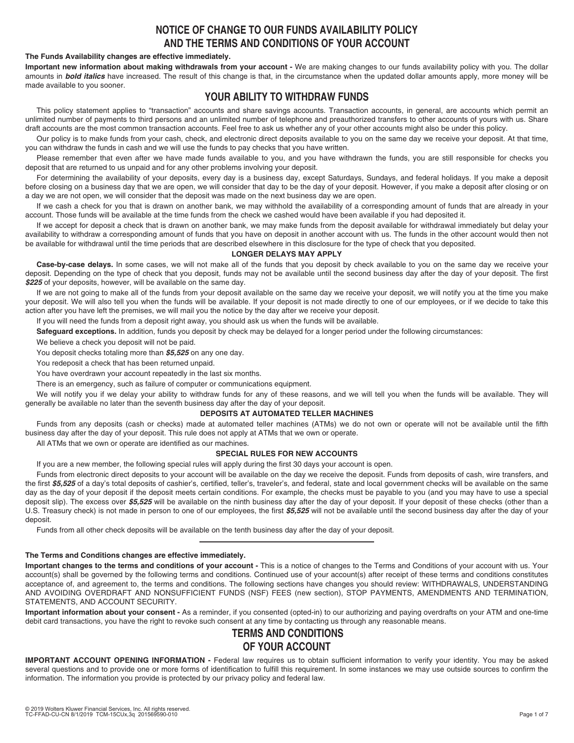# **NOTICE OF CHANGE TO OUR FUNDS AVAILABILITY POLICY AND THE TERMS AND CONDITIONS OF YOUR ACCOUNT**

### **The Funds Availability changes are effective immediately.**

**Important new information about making withdrawals from your account -** We are making changes to our funds availability policy with you. The dollar amounts in **bold italics** have increased. The result of this change is that, in the circumstance when the updated dollar amounts apply, more money will be made available to you sooner.

# **YOUR ABILITY TO WITHDRAW FUNDS**

This policy statement applies to "transaction" accounts and share savings accounts. Transaction accounts, in general, are accounts which permit an unlimited number of payments to third persons and an unlimited number of telephone and preauthorized transfers to other accounts of yours with us. Share draft accounts are the most common transaction accounts. Feel free to ask us whether any of your other accounts might also be under this policy.

Our policy is to make funds from your cash, check, and electronic direct deposits available to you on the same day we receive your deposit. At that time, you can withdraw the funds in cash and we will use the funds to pay checks that you have written.

Please remember that even after we have made funds available to you, and you have withdrawn the funds, you are still responsible for checks you deposit that are returned to us unpaid and for any other problems involving your deposit.

For determining the availability of your deposits, every day is a business day, except Saturdays, Sundays, and federal holidays. If you make a deposit before closing on a business day that we are open, we will consider that day to be the day of your deposit. However, if you make a deposit after closing or on a day we are not open, we will consider that the deposit was made on the next business day we are open.

If we cash a check for you that is drawn on another bank, we may withhold the availability of a corresponding amount of funds that are already in your account. Those funds will be available at the time funds from the check we cashed would have been available if you had deposited it.

If we accept for deposit a check that is drawn on another bank, we may make funds from the deposit available for withdrawal immediately but delay your availability to withdraw a corresponding amount of funds that you have on deposit in another account with us. The funds in the other account would then not be available for withdrawal until the time periods that are described elsewhere in this disclosure for the type of check that you deposited.

## **LONGER DELAYS MAY APPLY**

**Case-by-case delays.** In some cases, we will not make all of the funds that you deposit by check available to you on the same day we receive your deposit. Depending on the type of check that you deposit, funds may not be available until the second business day after the day of your deposit. The first *\$225* of your deposits, however, will be available on the same day.

If we are not going to make all of the funds from your deposit available on the same day we receive your deposit, we will notify you at the time you make your deposit. We will also tell you when the funds will be available. If your deposit is not made directly to one of our employees, or if we decide to take this action after you have left the premises, we will mail you the notice by the day after we receive your deposit.

If you will need the funds from a deposit right away, you should ask us when the funds will be available.

**Safeguard exceptions.** In addition, funds you deposit by check may be delayed for a longer period under the following circumstances:

We believe a check you deposit will not be paid.

You deposit checks totaling more than *\$5,525* on any one day.

You redeposit a check that has been returned unpaid.

You have overdrawn your account repeatedly in the last six months.

There is an emergency, such as failure of computer or communications equipment.

We will notify you if we delay your ability to withdraw funds for any of these reasons, and we will tell you when the funds will be available. They will generally be available no later than the seventh business day after the day of your deposit.

# **DEPOSITS AT AUTOMATED TELLER MACHINES**

Funds from any deposits (cash or checks) made at automated teller machines (ATMs) we do not own or operate will not be available until the fifth business day after the day of your deposit. This rule does not apply at ATMs that we own or operate.

All ATMs that we own or operate are identified as our machines.

### **SPECIAL RULES FOR NEW ACCOUNTS**

If you are a new member, the following special rules will apply during the first 30 days your account is open.

Funds from electronic direct deposits to your account will be available on the day we receive the deposit. Funds from deposits of cash, wire transfers, and the first \$5.525 of a day's total deposits of cashier's, certified, teller's, traveler's, and federal, state and local government checks will be available on the same day as the day of your deposit if the deposit meets certain conditions. For example, the checks must be payable to you (and you may have to use a special deposit slip). The excess over \$5,525 will be available on the ninth business day after the day of your deposit. If your deposit of these checks (other than a U.S. Treasury check) is not made in person to one of our employees, the first *\$5,525* will not be available until the second business day after the day of your deposit.

Funds from all other check deposits will be available on the tenth business day after the day of your deposit.

#### **The Terms and Conditions changes are effective immediately.**

**Important changes to the terms and conditions of your account -** This is a notice of changes to the Terms and Conditions of your account with us. Your account(s) shall be governed by the following terms and conditions. Continued use of your account(s) after receipt of these terms and conditions constitutes acceptance of, and agreement to, the terms and conditions. The following sections have changes you should review: WITHDRAWALS, UNDERSTANDING AND AVOIDING OVERDRAFT AND NONSUFFICIENT FUNDS (NSF) FEES (new section), STOP PAYMENTS, AMENDMENTS AND TERMINATION, STATEMENTS, AND ACCOUNT SECURITY.

**Important information about your consent -** As a reminder, if you consented (opted-in) to our authorizing and paying overdrafts on your ATM and one-time debit card transactions, you have the right to revoke such consent at any time by contacting us through any reasonable means.

# **TERMS AND CONDITIONS OF YOUR ACCOUNT**

**IMPORTANT ACCOUNT OPENING INFORMATION -** Federal law requires us to obtain sufficient information to verify your identity. You may be asked several questions and to provide one or more forms of identification to fulfill this requirement. In some instances we may use outside sources to confirm the information. The information you provide is protected by our privacy policy and federal law.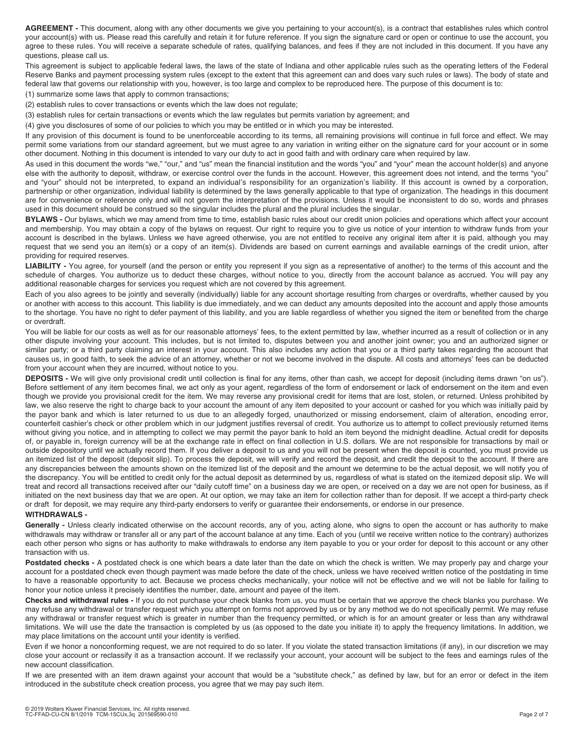**AGREEMENT -** This document, along with any other documents we give you pertaining to your account(s), is a contract that establishes rules which control your account(s) with us. Please read this carefully and retain it for future reference. If you sign the signature card or open or continue to use the account, you agree to these rules. You will receive a separate schedule of rates, qualifying balances, and fees if they are not included in this document. If you have any questions, please call us.

This agreement is subject to applicable federal laws, the laws of the state of Indiana and other applicable rules such as the operating letters of the Federal Reserve Banks and payment processing system rules (except to the extent that this agreement can and does vary such rules or laws). The body of state and federal law that governs our relationship with you, however, is too large and complex to be reproduced here. The purpose of this document is to:

(1) summarize some laws that apply to common transactions;

(2) establish rules to cover transactions or events which the law does not regulate;

(3) establish rules for certain transactions or events which the law regulates but permits variation by agreement; and

(4) give you disclosures of some of our policies to which you may be entitled or in which you may be interested.

If any provision of this document is found to be unenforceable according to its terms, all remaining provisions will continue in full force and effect. We may permit some variations from our standard agreement, but we must agree to any variation in writing either on the signature card for your account or in some other document. Nothing in this document is intended to vary our duty to act in good faith and with ordinary care when required by law.

As used in this document the words "we," "our," and "us" mean the financial institution and the words "you" and "your" mean the account holder(s) and anyone else with the authority to deposit, withdraw, or exercise control over the funds in the account. However, this agreement does not intend, and the terms "you" and "your" should not be interpreted, to expand an individual's responsibility for an organization's liability. If this account is owned by a corporation, partnership or other organization, individual liability is determined by the laws generally applicable to that type of organization. The headings in this document are for convenience or reference only and will not govern the interpretation of the provisions. Unless it would be inconsistent to do so, words and phrases used in this document should be construed so the singular includes the plural and the plural includes the singular.

**BYLAWS -** Our bylaws, which we may amend from time to time, establish basic rules about our credit union policies and operations which affect your account and membership. You may obtain a copy of the bylaws on request. Our right to require you to give us notice of your intention to withdraw funds from your account is described in the bylaws. Unless we have agreed otherwise, you are not entitled to receive any original item after it is paid, although you may request that we send you an item(s) or a copy of an item(s). Dividends are based on current earnings and available earnings of the credit union, after providing for required reserves.

**LIABILITY -** You agree, for yourself (and the person or entity you represent if you sign as a representative of another) to the terms of this account and the schedule of charges. You authorize us to deduct these charges, without notice to you, directly from the account balance as accrued. You will pay any additional reasonable charges for services you request which are not covered by this agreement.

Each of you also agrees to be jointly and severally (individually) liable for any account shortage resulting from charges or overdrafts, whether caused by you or another with access to this account. This liability is due immediately, and we can deduct any amounts deposited into the account and apply those amounts to the shortage. You have no right to defer payment of this liability, and you are liable regardless of whether you signed the item or benefited from the charge or overdraft.

You will be liable for our costs as well as for our reasonable attorneys' fees, to the extent permitted by law, whether incurred as a result of collection or in any other dispute involving your account. This includes, but is not limited to, disputes between you and another joint owner; you and an authorized signer or similar party; or a third party claiming an interest in your account. This also includes any action that you or a third party takes regarding the account that causes us, in good faith, to seek the advice of an attorney, whether or not we become involved in the dispute. All costs and attorneys' fees can be deducted from your account when they are incurred, without notice to you.

**DEPOSITS -** We will give only provisional credit until collection is final for any items, other than cash, we accept for deposit (including items drawn "on us"). Before settlement of any item becomes final, we act only as your agent, regardless of the form of endorsement or lack of endorsement on the item and even though we provide you provisional credit for the item. We may reverse any provisional credit for items that are lost, stolen, or returned. Unless prohibited by law, we also reserve the right to charge back to your account the amount of any item deposited to your account or cashed for you which was initially paid by the payor bank and which is later returned to us due to an allegedly forged, unauthorized or missing endorsement, claim of alteration, encoding error, counterfeit cashier's check or other problem which in our judgment justifies reversal of credit. You authorize us to attempt to collect previously returned items without giving you notice, and in attempting to collect we may permit the payor bank to hold an item beyond the midnight deadline. Actual credit for deposits of, or payable in, foreign currency will be at the exchange rate in effect on final collection in U.S. dollars. We are not responsible for transactions by mail or outside depository until we actually record them. If you deliver a deposit to us and you will not be present when the deposit is counted, you must provide us an itemized list of the deposit (deposit slip). To process the deposit, we will verify and record the deposit, and credit the deposit to the account. If there are any discrepancies between the amounts shown on the itemized list of the deposit and the amount we determine to be the actual deposit, we will notify you of the discrepancy. You will be entitled to credit only for the actual deposit as determined by us, regardless of what is stated on the itemized deposit slip. We will treat and record all transactions received after our "daily cutoff time" on a business day we are open, or received on a day we are not open for business, as if initiated on the next business day that we are open. At our option, we may take an item for collection rather than for deposit. If we accept a third-party check or draft for deposit, we may require any third-party endorsers to verify or guarantee their endorsements, or endorse in our presence.

## **WITHDRAWALS -**

Generally - Unless clearly indicated otherwise on the account records, any of you, acting alone, who signs to open the account or has authority to make withdrawals may withdraw or transfer all or any part of the account balance at any time. Each of you (until we receive written notice to the contrary) authorizes each other person who signs or has authority to make withdrawals to endorse any item payable to you or your order for deposit to this account or any other transaction with us.

Postdated checks - A postdated check is one which bears a date later than the date on which the check is written. We may properly pay and charge your account for a postdated check even though payment was made before the date of the check, unless we have received written notice of the postdating in time to have a reasonable opportunity to act. Because we process checks mechanically, your notice will not be effective and we will not be liable for failing to honor your notice unless it precisely identifies the number, date, amount and payee of the item.

**Checks and withdrawal rules -** If you do not purchase your check blanks from us, you must be certain that we approve the check blanks you purchase. We may refuse any withdrawal or transfer request which you attempt on forms not approved by us or by any method we do not specifically permit. We may refuse any withdrawal or transfer request which is greater in number than the frequency permitted, or which is for an amount greater or less than any withdrawal limitations. We will use the date the transaction is completed by us (as opposed to the date you initiate it) to apply the frequency limitations. In addition, we may place limitations on the account until your identity is verified.

Even if we honor a nonconforming request, we are not required to do so later. If you violate the stated transaction limitations (if any), in our discretion we may close your account or reclassify it as a transaction account. If we reclassify your account, your account will be subject to the fees and earnings rules of the new account classification.

If we are presented with an item drawn against your account that would be a "substitute check," as defined by law, but for an error or defect in the item introduced in the substitute check creation process, you agree that we may pay such item.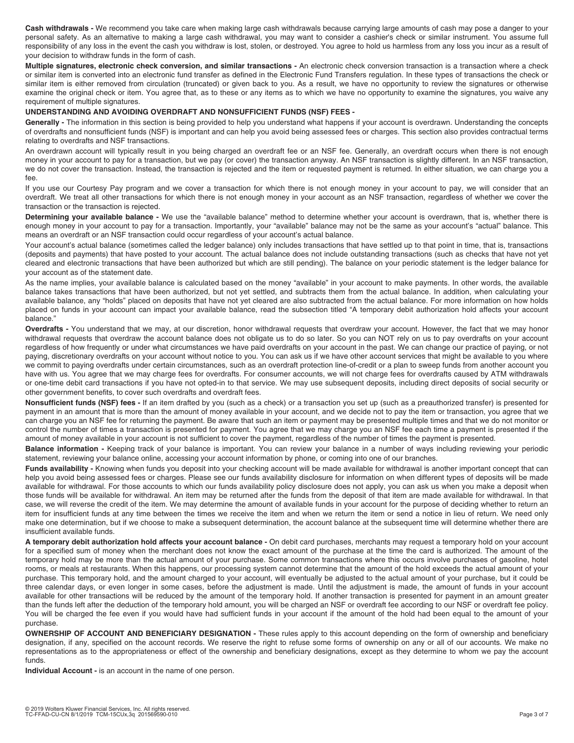**Cash withdrawals -** We recommend you take care when making large cash withdrawals because carrying large amounts of cash may pose a danger to your personal safety. As an alternative to making a large cash withdrawal, you may want to consider a cashier's check or similar instrument. You assume full responsibility of any loss in the event the cash you withdraw is lost, stolen, or destroyed. You agree to hold us harmless from any loss you incur as a result of your decision to withdraw funds in the form of cash.

**Multiple signatures, electronic check conversion, and similar transactions -** An electronic check conversion transaction is a transaction where a check or similar item is converted into an electronic fund transfer as defined in the Electronic Fund Transfers regulation. In these types of transactions the check or similar item is either removed from circulation (truncated) or given back to you. As a result, we have no opportunity to review the signatures or otherwise examine the original check or item. You agree that, as to these or any items as to which we have no opportunity to examine the signatures, you waive any requirement of multiple signatures.

#### **UNDERSTANDING AND AVOIDING OVERDRAFT AND NONSUFFICIENT FUNDS (NSF) FEES -**

Generally - The information in this section is being provided to help you understand what happens if your account is overdrawn. Understanding the concepts of overdrafts and nonsufficient funds (NSF) is important and can help you avoid being assessed fees or charges. This section also provides contractual terms relating to overdrafts and NSF transactions.

An overdrawn account will typically result in you being charged an overdraft fee or an NSF fee. Generally, an overdraft occurs when there is not enough money in your account to pay for a transaction, but we pay (or cover) the transaction anyway. An NSF transaction is slightly different. In an NSF transaction, we do not cover the transaction. Instead, the transaction is rejected and the item or requested payment is returned. In either situation, we can charge you a fee.

If you use our Courtesy Pay program and we cover a transaction for which there is not enough money in your account to pay, we will consider that an overdraft. We treat all other transactions for which there is not enough money in your account as an NSF transaction, regardless of whether we cover the transaction or the transaction is rejected.

**Determining your available balance -** We use the "available balance" method to determine whether your account is overdrawn, that is, whether there is enough money in your account to pay for a transaction. Importantly, your "available" balance may not be the same as your account's "actual" balance. This means an overdraft or an NSF transaction could occur regardless of your account's actual balance.

Your account's actual balance (sometimes called the ledger balance) only includes transactions that have settled up to that point in time, that is, transactions (deposits and payments) that have posted to your account. The actual balance does not include outstanding transactions (such as checks that have not yet cleared and electronic transactions that have been authorized but which are still pending). The balance on your periodic statement is the ledger balance for your account as of the statement date.

As the name implies, your available balance is calculated based on the money "available" in your account to make payments. In other words, the available balance takes transactions that have been authorized, but not yet settled, and subtracts them from the actual balance. In addition, when calculating your available balance, any "holds" placed on deposits that have not yet cleared are also subtracted from the actual balance. For more information on how holds placed on funds in your account can impact your available balance, read the subsection titled "A temporary debit authorization hold affects your account balance."

**Overdrafts -** You understand that we may, at our discretion, honor withdrawal requests that overdraw your account. However, the fact that we may honor withdrawal requests that overdraw the account balance does not obligate us to do so later. So you can NOT rely on us to pay overdrafts on your account regardless of how frequently or under what circumstances we have paid overdrafts on your account in the past. We can change our practice of paying, or not paying, discretionary overdrafts on your account without notice to you. You can ask us if we have other account services that might be available to you where we commit to paying overdrafts under certain circumstances, such as an overdraft protection line-of-credit or a plan to sweep funds from another account you have with us. You agree that we may charge fees for overdrafts. For consumer accounts, we will not charge fees for overdrafts caused by ATM withdrawals or one-time debit card transactions if you have not opted-in to that service. We may use subsequent deposits, including direct deposits of social security or other government benefits, to cover such overdrafts and overdraft fees.

**Nonsufficient funds (NSF) fees -** If an item drafted by you (such as a check) or a transaction you set up (such as a preauthorized transfer) is presented for payment in an amount that is more than the amount of money available in your account, and we decide not to pay the item or transaction, you agree that we can charge you an NSF fee for returning the payment. Be aware that such an item or payment may be presented multiple times and that we do not monitor or control the number of times a transaction is presented for payment. You agree that we may charge you an NSF fee each time a payment is presented if the amount of money available in your account is not sufficient to cover the payment, regardless of the number of times the payment is presented.

Balance information - Keeping track of your balance is important. You can review your balance in a number of ways including reviewing your periodic statement, reviewing your balance online, accessing your account information by phone, or coming into one of our branches.

Funds availability - Knowing when funds you deposit into your checking account will be made available for withdrawal is another important concept that can help you avoid being assessed fees or charges. Please see our funds availability disclosure for information on when different types of deposits will be made available for withdrawal. For those accounts to which our funds availability policy disclosure does not apply, you can ask us when you make a deposit when those funds will be available for withdrawal. An item may be returned after the funds from the deposit of that item are made available for withdrawal. In that case, we will reverse the credit of the item. We may determine the amount of available funds in your account for the purpose of deciding whether to return an item for insufficient funds at any time between the times we receive the item and when we return the item or send a notice in lieu of return. We need only make one determination, but if we choose to make a subsequent determination, the account balance at the subsequent time will determine whether there are insufficient available funds.

**A temporary debit authorization hold affects your account balance -** On debit card purchases, merchants may request a temporary hold on your account for a specified sum of money when the merchant does not know the exact amount of the purchase at the time the card is authorized. The amount of the temporary hold may be more than the actual amount of your purchase. Some common transactions where this occurs involve purchases of gasoline, hotel rooms, or meals at restaurants. When this happens, our processing system cannot determine that the amount of the hold exceeds the actual amount of your purchase. This temporary hold, and the amount charged to your account, will eventually be adjusted to the actual amount of your purchase, but it could be three calendar days, or even longer in some cases, before the adjustment is made. Until the adjustment is made, the amount of funds in your account available for other transactions will be reduced by the amount of the temporary hold. If another transaction is presented for payment in an amount greater than the funds left after the deduction of the temporary hold amount, you will be charged an NSF or overdraft fee according to our NSF or overdraft fee policy. You will be charged the fee even if you would have had sufficient funds in your account if the amount of the hold had been equal to the amount of your purchase.

**OWNERSHIP OF ACCOUNT AND BENEFICIARY DESIGNATION -** These rules apply to this account depending on the form of ownership and beneficiary designation, if any, specified on the account records. We reserve the right to refuse some forms of ownership on any or all of our accounts. We make no representations as to the appropriateness or effect of the ownership and beneficiary designations, except as they determine to whom we pay the account funds.

**Individual Account -** is an account in the name of one person.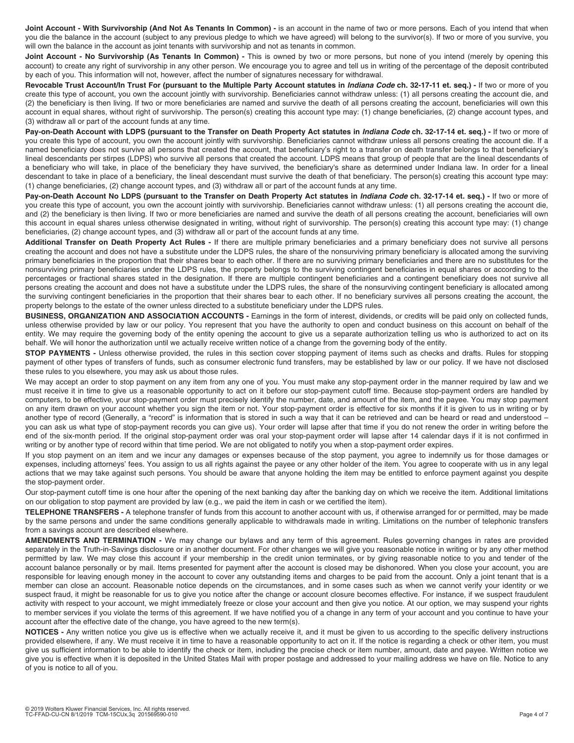**Joint Account - With Survivorship (And Not As Tenants In Common) -** is an account in the name of two or more persons. Each of you intend that when you die the balance in the account (subject to any previous pledge to which we have agreed) will belong to the survivor(s). If two or more of you survive, you will own the balance in the account as joint tenants with survivorship and not as tenants in common.

**Joint Account - No Survivorship (As Tenants In Common) -** This is owned by two or more persons, but none of you intend (merely by opening this account) to create any right of survivorship in any other person. We encourage you to agree and tell us in writing of the percentage of the deposit contributed by each of you. This information will not, however, affect the number of signatures necessary for withdrawal.

**Revocable Trust Account/In Trust For (pursuant to the Multiple Party Account statutes in** *Indiana Code* **ch. 32-17-11 et. seq.) -** If two or more of you create this type of account, you own the account jointly with survivorship. Beneficiaries cannot withdraw unless: (1) all persons creating the account die, and (2) the beneficiary is then living. If two or more beneficiaries are named and survive the death of all persons creating the account, beneficiaries will own this account in equal shares, without right of survivorship. The person(s) creating this account type may: (1) change beneficiaries, (2) change account types, and (3) withdraw all or part of the account funds at any time.

Pay-on-Death Account with LDPS (pursuant to the Transfer on Death Property Act statutes in *Indiana Code* ch. 32-17-14 et. seg.) - If two or more of you create this type of account, you own the account jointly with survivorship. Beneficiaries cannot withdraw unless all persons creating the account die. If a named beneficiary does not survive all persons that created the account, that beneficiary's right to a transfer on death transfer belongs to that beneficiary's lineal descendants per stirpes (LDPS) who survive all persons that created the account. LDPS means that group of people that are the lineal descendants of a beneficiary who will take, in place of the beneficiary they have survived, the beneficiary's share as determined under Indiana law. In order for a lineal descendant to take in place of a beneficiary, the lineal descendant must survive the death of that beneficiary. The person(s) creating this account type may: (1) change beneficiaries, (2) change account types, and (3) withdraw all or part of the account funds at any time.

Pay-on-Death Account No LDPS (pursuant to the Transfer on Death Property Act statutes in *Indiana Code* ch. 32-17-14 et. seq.) - If two or more of you create this type of account, you own the account jointly with survivorship. Beneficiaries cannot withdraw unless: (1) all persons creating the account die, and (2) the beneficiary is then living. If two or more beneficiaries are named and survive the death of all persons creating the account, beneficiaries will own this account in equal shares unless otherwise designated in writing, without right of survivorship. The person(s) creating this account type may: (1) change beneficiaries, (2) change account types, and (3) withdraw all or part of the account funds at any time.

Additional Transfer on Death Property Act Rules - If there are multiple primary beneficiaries and a primary beneficiary does not survive all persons creating the account and does not have a substitute under the LDPS rules, the share of the nonsurviving primary beneficiary is allocated among the surviving primary beneficiaries in the proportion that their shares bear to each other. If there are no surviving primary beneficiaries and there are no substitutes for the nonsurviving primary beneficiaries under the LDPS rules, the property belongs to the surviving contingent beneficiaries in equal shares or according to the percentages or fractional shares stated in the designation. If there are multiple contingent beneficiaries and a contingent beneficiary does not survive all persons creating the account and does not have a substitute under the LDPS rules, the share of the nonsurviving contingent beneficiary is allocated among the surviving contingent beneficiaries in the proportion that their shares bear to each other. If no beneficiary survives all persons creating the account, the property belongs to the estate of the owner unless directed to a substitute beneficiary under the LDPS rules.

**BUSINESS, ORGANIZATION AND ASSOCIATION ACCOUNTS - Earnings in the form of interest, dividends, or credits will be paid only on collected funds,** unless otherwise provided by law or our policy. You represent that you have the authority to open and conduct business on this account on behalf of the entity. We may require the governing body of the entity opening the account to give us a separate authorization telling us who is authorized to act on its behalf. We will honor the authorization until we actually receive written notice of a change from the governing body of the entity.

**STOP PAYMENTS** - Unless otherwise provided, the rules in this section cover stopping payment of items such as checks and drafts. Rules for stopping payment of other types of transfers of funds, such as consumer electronic fund transfers, may be established by law or our policy. If we have not disclosed these rules to you elsewhere, you may ask us about those rules.

We may accept an order to stop payment on any item from any one of you. You must make any stop-payment order in the manner required by law and we must receive it in time to give us a reasonable opportunity to act on it before our stop-payment cutoff time. Because stop-payment orders are handled by computers, to be effective, your stop-payment order must precisely identify the number, date, and amount of the item, and the payee. You may stop payment on any item drawn on your account whether you sign the item or not. Your stop-payment order is effective for six months if it is given to us in writing or by another type of record (Generally, a "record" is information that is stored in such a way that it can be retrieved and can be heard or read and understood – you can ask us what type of stop-payment records you can give us). Your order will lapse after that time if you do not renew the order in writing before the end of the six-month period. If the original stop-payment order was oral your stop-payment order will lapse after 14 calendar days if it is not confirmed in writing or by another type of record within that time period. We are not obligated to notify you when a stop-payment order expires.

If you stop payment on an item and we incur any damages or expenses because of the stop payment, you agree to indemnify us for those damages or expenses, including attorneys' fees. You assign to us all rights against the payee or any other holder of the item. You agree to cooperate with us in any legal actions that we may take against such persons. You should be aware that anyone holding the item may be entitled to enforce payment against you despite the stop-payment order.

Our stop-payment cutoff time is one hour after the opening of the next banking day after the banking day on which we receive the item. Additional limitations on our obligation to stop payment are provided by law (e.g., we paid the item in cash or we certified the item).

**TELEPHONE TRANSFERS -** A telephone transfer of funds from this account to another account with us, if otherwise arranged for or permitted, may be made by the same persons and under the same conditions generally applicable to withdrawals made in writing. Limitations on the number of telephonic transfers from a savings account are described elsewhere.

**AMENDMENTS AND TERMINATION -** We may change our bylaws and any term of this agreement. Rules governing changes in rates are provided separately in the Truth-in-Savings disclosure or in another document. For other changes we will give you reasonable notice in writing or by any other method permitted by law. We may close this account if your membership in the credit union terminates, or by giving reasonable notice to you and tender of the account balance personally or by mail. Items presented for payment after the account is closed may be dishonored. When you close your account, you are responsible for leaving enough money in the account to cover any outstanding items and charges to be paid from the account. Only a joint tenant that is a member can close an account. Reasonable notice depends on the circumstances, and in some cases such as when we cannot verify your identity or we suspect fraud, it might be reasonable for us to give you notice after the change or account closure becomes effective. For instance, if we suspect fraudulent activity with respect to your account, we might immediately freeze or close your account and then give you notice. At our option, we may suspend your rights to member services if you violate the terms of this agreement. If we have notified you of a change in any term of your account and you continue to have your account after the effective date of the change, you have agreed to the new term(s).

**NOTICES -** Any written notice you give us is effective when we actually receive it, and it must be given to us according to the specific delivery instructions provided elsewhere, if any. We must receive it in time to have a reasonable opportunity to act on it. If the notice is regarding a check or other item, you must give us sufficient information to be able to identify the check or item, including the precise check or item number, amount, date and payee. Written notice we give you is effective when it is deposited in the United States Mail with proper postage and addressed to your mailing address we have on file. Notice to any of you is notice to all of you.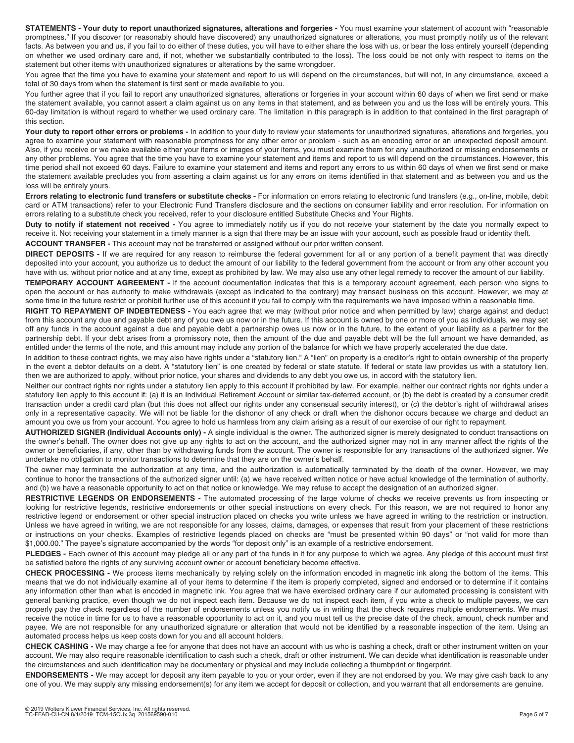**STATEMENTS - Your duty to report unauthorized signatures, alterations and forgeries - You must examine your statement of account with "reasonable** promptness." If you discover (or reasonably should have discovered) any unauthorized signatures or alterations, you must promptly notify us of the relevant facts. As between you and us, if you fail to do either of these duties, you will have to either share the loss with us, or bear the loss entirely yourself (depending on whether we used ordinary care and, if not, whether we substantially contributed to the loss). The loss could be not only with respect to items on the statement but other items with unauthorized signatures or alterations by the same wrongdoer.

You agree that the time you have to examine your statement and report to us will depend on the circumstances, but will not, in any circumstance, exceed a total of 30 days from when the statement is first sent or made available to you.

You further agree that if you fail to report any unauthorized signatures, alterations or forgeries in your account within 60 days of when we first send or make the statement available, you cannot assert a claim against us on any items in that statement, and as between you and us the loss will be entirely yours. This 60-day limitation is without regard to whether we used ordinary care. The limitation in this paragraph is in addition to that contained in the first paragraph of this section.

Your duty to report other errors or problems - In addition to your duty to review your statements for unauthorized signatures, alterations and forgeries, you agree to examine your statement with reasonable promptness for any other error or problem - such as an encoding error or an unexpected deposit amount. Also, if you receive or we make available either your items or images of your items, you must examine them for any unauthorized or missing endorsements or any other problems. You agree that the time you have to examine your statement and items and report to us will depend on the circumstances. However, this time period shall not exceed 60 days. Failure to examine your statement and items and report any errors to us within 60 days of when we first send or make the statement available precludes you from asserting a claim against us for any errors on items identified in that statement and as between you and us the loss will be entirely yours.

**Errors relating to electronic fund transfers or substitute checks -** For information on errors relating to electronic fund transfers (e.g., on-line, mobile, debit card or ATM transactions) refer to your Electronic Fund Transfers disclosure and the sections on consumer liability and error resolution. For information on errors relating to a substitute check you received, refer to your disclosure entitled Substitute Checks and Your Rights.

**Duty to notify if statement not received -** You agree to immediately notify us if you do not receive your statement by the date you normally expect to receive it. Not receiving your statement in a timely manner is a sign that there may be an issue with your account, such as possible fraud or identity theft. **ACCOUNT TRANSFER -** This account may not be transferred or assigned without our prior written consent.

**DIRECT DEPOSITS -** If we are required for any reason to reimburse the federal government for all or any portion of a benefit payment that was directly deposited into your account, you authorize us to deduct the amount of our liability to the federal government from the account or from any other account you have with us, without prior notice and at any time, except as prohibited by law. We may also use any other legal remedy to recover the amount of our liability.

**TEMPORARY ACCOUNT AGREEMENT -** If the account documentation indicates that this is a temporary account agreement, each person who signs to open the account or has authority to make withdrawals (except as indicated to the contrary) may transact business on this account. However, we may at some time in the future restrict or prohibit further use of this account if you fail to comply with the requirements we have imposed within a reasonable time.

**RIGHT TO REPAYMENT OF INDEBTEDNESS -** You each agree that we may (without prior notice and when permitted by law) charge against and deduct from this account any due and payable debt any of you owe us now or in the future. If this account is owned by one or more of you as individuals, we may set off any funds in the account against a due and payable debt a partnership owes us now or in the future, to the extent of your liability as a partner for the partnership debt. If your debt arises from a promissory note, then the amount of the due and payable debt will be the full amount we have demanded, as entitled under the terms of the note, and this amount may include any portion of the balance for which we have properly accelerated the due date.

In addition to these contract rights, we may also have rights under a "statutory lien." A "lien" on property is a creditor's right to obtain ownership of the property in the event a debtor defaults on a debt. A "statutory lien" is one created by federal or state statute. If federal or state law provides us with a statutory lien, then we are authorized to apply, without prior notice, your shares and dividends to any debt you owe us, in accord with the statutory lien.

Neither our contract rights nor rights under a statutory lien apply to this account if prohibited by law. For example, neither our contract rights nor rights under a statutory lien apply to this account if: (a) it is an Individual Retirement Account or similar tax-deferred account, or (b) the debt is created by a consumer credit transaction under a credit card plan (but this does not affect our rights under any consensual security interest), or (c) the debtor's right of withdrawal arises only in a representative capacity. We will not be liable for the dishonor of any check or draft when the dishonor occurs because we charge and deduct an amount you owe us from your account. You agree to hold us harmless from any claim arising as a result of our exercise of our right to repayment.

**AUTHORIZED SIGNER (Individual Accounts only) -** A single individual is the owner. The authorized signer is merely designated to conduct transactions on the owner's behalf. The owner does not give up any rights to act on the account, and the authorized signer may not in any manner affect the rights of the owner or beneficiaries, if any, other than by withdrawing funds from the account. The owner is responsible for any transactions of the authorized signer. We undertake no obligation to monitor transactions to determine that they are on the owner's behalf.

The owner may terminate the authorization at any time, and the authorization is automatically terminated by the death of the owner. However, we may continue to honor the transactions of the authorized signer until: (a) we have received written notice or have actual knowledge of the termination of authority, and (b) we have a reasonable opportunity to act on that notice or knowledge. We may refuse to accept the designation of an authorized signer.

**RESTRICTIVE LEGENDS OR ENDORSEMENTS** - The automated processing of the large volume of checks we receive prevents us from inspecting or looking for restrictive legends, restrictive endorsements or other special instructions on every check. For this reason, we are not required to honor any restrictive legend or endorsement or other special instruction placed on checks you write unless we have agreed in writing to the restriction or instruction. Unless we have agreed in writing, we are not responsible for any losses, claims, damages, or expenses that result from your placement of these restrictions or instructions on your checks. Examples of restrictive legends placed on checks are "must be presented within 90 days" or "not valid for more than \$1,000.00." The payee's signature accompanied by the words "for deposit only" is an example of a restrictive endorsement.

**PLEDGES -** Each owner of this account may pledge all or any part of the funds in it for any purpose to which we agree. Any pledge of this account must first be satisfied before the rights of any surviving account owner or account beneficiary become effective.

**CHECK PROCESSING -** We process items mechanically by relying solely on the information encoded in magnetic ink along the bottom of the items. This means that we do not individually examine all of your items to determine if the item is properly completed, signed and endorsed or to determine if it contains any information other than what is encoded in magnetic ink. You agree that we have exercised ordinary care if our automated processing is consistent with general banking practice, even though we do not inspect each item. Because we do not inspect each item, if you write a check to multiple payees, we can properly pay the check regardless of the number of endorsements unless you notify us in writing that the check requires multiple endorsements. We must receive the notice in time for us to have a reasonable opportunity to act on it, and you must tell us the precise date of the check, amount, check number and payee. We are not responsible for any unauthorized signature or alteration that would not be identified by a reasonable inspection of the item. Using an automated process helps us keep costs down for you and all account holders.

**CHECK CASHING -** We may charge a fee for anyone that does not have an account with us who is cashing a check, draft or other instrument written on your account. We may also require reasonable identification to cash such a check, draft or other instrument. We can decide what identification is reasonable under the circumstances and such identification may be documentary or physical and may include collecting a thumbprint or fingerprint.

**ENDORSEMENTS -** We may accept for deposit any item payable to you or your order, even if they are not endorsed by you. We may give cash back to any one of you. We may supply any missing endorsement(s) for any item we accept for deposit or collection, and you warrant that all endorsements are genuine.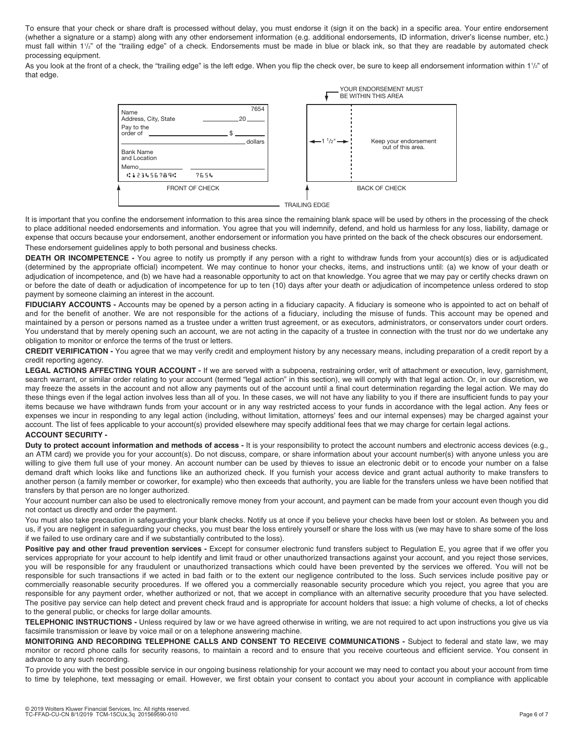To ensure that your check or share draft is processed without delay, you must endorse it (sign it on the back) in a specific area. Your entire endorsement (whether a signature or a stamp) along with any other endorsement information (e.g. additional endorsements, ID information, driver's license number, etc.) must fall within 11 /2" of the "trailing edge" of a check. Endorsements must be made in blue or black ink, so that they are readable by automated check processing equipment.

As you look at the front of a check, the "trailing edge" is the left edge. When you flip the check over, be sure to keep all endorsement information within 11/2" of that edge.



It is important that you confine the endorsement information to this area since the remaining blank space will be used by others in the processing of the check to place additional needed endorsements and information. You agree that you will indemnify, defend, and hold us harmless for any loss, liability, damage or expense that occurs because your endorsement, another endorsement or information you have printed on the back of the check obscures our endorsement.

These endorsement guidelines apply to both personal and business checks.

**DEATH OR INCOMPETENCE -** You agree to notify us promptly if any person with a right to withdraw funds from your account(s) dies or is adjudicated (determined by the appropriate official) incompetent. We may continue to honor your checks, items, and instructions until: (a) we know of your death or adjudication of incompetence, and (b) we have had a reasonable opportunity to act on that knowledge. You agree that we may pay or certify checks drawn on or before the date of death or adjudication of incompetence for up to ten (10) days after your death or adjudication of incompetence unless ordered to stop payment by someone claiming an interest in the account.

**FIDUCIARY ACCOUNTS** - Accounts may be opened by a person acting in a fiduciary capacity. A fiduciary is someone who is appointed to act on behalf of and for the benefit of another. We are not responsible for the actions of a fiduciary, including the misuse of funds. This account may be opened and maintained by a person or persons named as a trustee under a written trust agreement, or as executors, administrators, or conservators under court orders. You understand that by merely opening such an account, we are not acting in the capacity of a trustee in connection with the trust nor do we undertake any obligation to monitor or enforce the terms of the trust or letters.

**CREDIT VERIFICATION -** You agree that we may verify credit and employment history by any necessary means, including preparation of a credit report by a credit reporting agency.

LEGAL ACTIONS AFFECTING YOUR ACCOUNT - If we are served with a subpoena, restraining order, writ of attachment or execution, levy, garnishment, search warrant, or similar order relating to your account (termed "legal action" in this section), we will comply with that legal action. Or, in our discretion, we may freeze the assets in the account and not allow any payments out of the account until a final court determination regarding the legal action. We may do these things even if the legal action involves less than all of you. In these cases, we will not have any liability to you if there are insufficient funds to pay your items because we have withdrawn funds from your account or in any way restricted access to your funds in accordance with the legal action. Any fees or expenses we incur in responding to any legal action (including, without limitation, attorneys' fees and our internal expenses) may be charged against your account. The list of fees applicable to your account(s) provided elsewhere may specify additional fees that we may charge for certain legal actions. **ACCOUNT SECURITY -** 

**Duty to protect account information and methods of access -** It is your responsibility to protect the account numbers and electronic access devices (e.g., an ATM card) we provide you for your account(s). Do not discuss, compare, or share information about your account number(s) with anyone unless you are willing to give them full use of your money. An account number can be used by thieves to issue an electronic debit or to encode your number on a false demand draft which looks like and functions like an authorized check. If you furnish your access device and grant actual authority to make transfers to another person (a family member or coworker, for example) who then exceeds that authority, you are liable for the transfers unless we have been notified that transfers by that person are no longer authorized.

Your account number can also be used to electronically remove money from your account, and payment can be made from your account even though you did not contact us directly and order the payment.

You must also take precaution in safeguarding your blank checks. Notify us at once if you believe your checks have been lost or stolen. As between you and us, if you are negligent in safeguarding your checks, you must bear the loss entirely yourself or share the loss with us (we may have to share some of the loss if we failed to use ordinary care and if we substantially contributed to the loss).

Positive pay and other fraud prevention services - Except for consumer electronic fund transfers subject to Regulation E, you agree that if we offer you services appropriate for your account to help identify and limit fraud or other unauthorized transactions against your account, and you reject those services, you will be responsible for any fraudulent or unauthorized transactions which could have been prevented by the services we offered. You will not be responsible for such transactions if we acted in bad faith or to the extent our negligence contributed to the loss. Such services include positive pay or commercially reasonable security procedures. If we offered you a commercially reasonable security procedure which you reject, you agree that you are responsible for any payment order, whether authorized or not, that we accept in compliance with an alternative security procedure that you have selected. The positive pay service can help detect and prevent check fraud and is appropriate for account holders that issue: a high volume of checks, a lot of checks to the general public, or checks for large dollar amounts.

**TELEPHONIC INSTRUCTIONS -** Unless required by law or we have agreed otherwise in writing, we are not required to act upon instructions you give us via facsimile transmission or leave by voice mail or on a telephone answering machine.

**MONITORING AND RECORDING TELEPHONE CALLS AND CONSENT TO RECEIVE COMMUNICATIONS -** Subject to federal and state law, we may monitor or record phone calls for security reasons, to maintain a record and to ensure that you receive courteous and efficient service. You consent in advance to any such recording.

To provide you with the best possible service in our ongoing business relationship for your account we may need to contact you about your account from time to time by telephone, text messaging or email. However, we first obtain your consent to contact you about your account in compliance with applicable